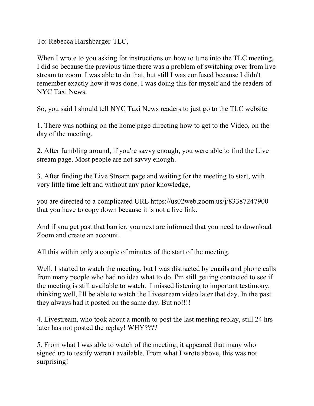To: Rebecca Harshbarger-TLC,

When I wrote to you asking for instructions on how to tune into the TLC meeting, I did so because the previous time there was a problem of switching over from live stream to zoom. I was able to do that, but still I was confused because I didn't remember exactly how it was done. I was doing this for myself and the readers of NYC Taxi News.

So, you said I should tell NYC Taxi News readers to just go to the TLC website

1. There was nothing on the home page directing how to get to the Video, on the day of the meeting.

2. After fumbling around, if you're savvy enough, you were able to find the Live stream page. Most people are not savvy enough.

3. After finding the Live Stream page and waiting for the meeting to start, with very little time left and without any prior knowledge,

you are directed to a complicated URL https://us02web.zoom.us/j/83387247900 that you have to copy down because it is not a live link.

And if you get past that barrier, you next are informed that you need to download Zoom and create an account.

All this within only a couple of minutes of the start of the meeting.

Well, I started to watch the meeting, but I was distracted by emails and phone calls from many people who had no idea what to do. I'm still getting contacted to see if the meeting is still available to watch. I missed listening to important testimony, thinking well, I'll be able to watch the Livestream video later that day. In the past they always had it posted on the same day. But no!!!!

4. Livestream, who took about a month to post the last meeting replay, still 24 hrs later has not posted the replay! WHY????

5. From what I was able to watch of the meeting, it appeared that many who signed up to testify weren't available. From what I wrote above, this was not surprising!